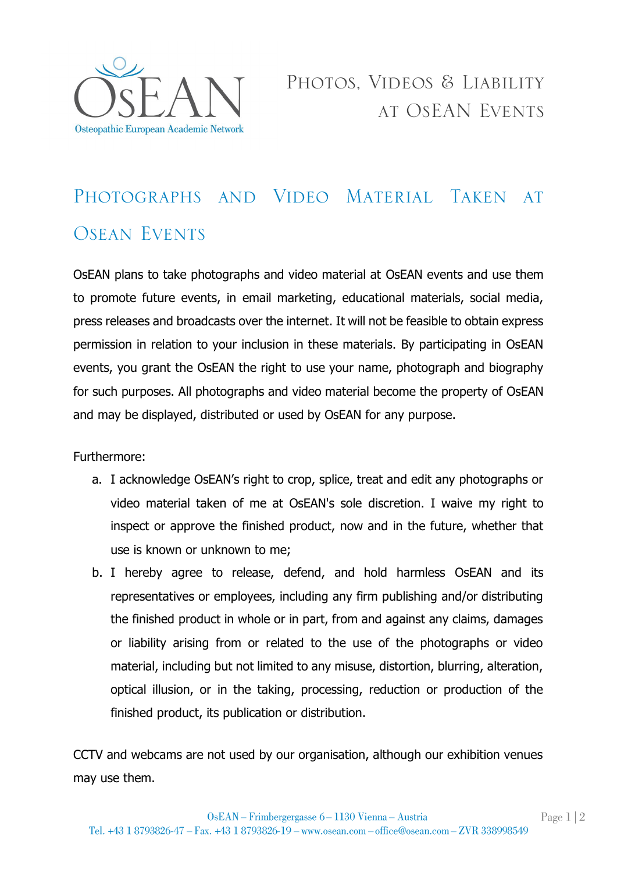

## PHOTOGRAPHS AND VIDEO MATERIAL TAKEN AT **OSEAN EVENTS**

OsEAN plans to take photographs and video material at OsEAN events and use them to promote future events, in email marketing, educational materials, social media, press releases and broadcasts over the internet. It will not be feasible to obtain express permission in relation to your inclusion in these materials. By participating in OsEAN events, you grant the OsEAN the right to use your name, photograph and biography for such purposes. All photographs and video material become the property of OsEAN and may be displayed, distributed or used by OsEAN for any purpose.

Furthermore:

- a. I acknowledge OsEAN's right to crop, splice, treat and edit any photographs or video material taken of me at OsEAN's sole discretion. I waive my right to inspect or approve the finished product, now and in the future, whether that use is known or unknown to me;
- b. I hereby agree to release, defend, and hold harmless OsEAN and its representatives or employees, including any firm publishing and/or distributing the finished product in whole or in part, from and against any claims, damages or liability arising from or related to the use of the photographs or video material, including but not limited to any misuse, distortion, blurring, alteration, optical illusion, or in the taking, processing, reduction or production of the finished product, its publication or distribution.

CCTV and webcams are not used by our organisation, although our exhibition venues may use them.